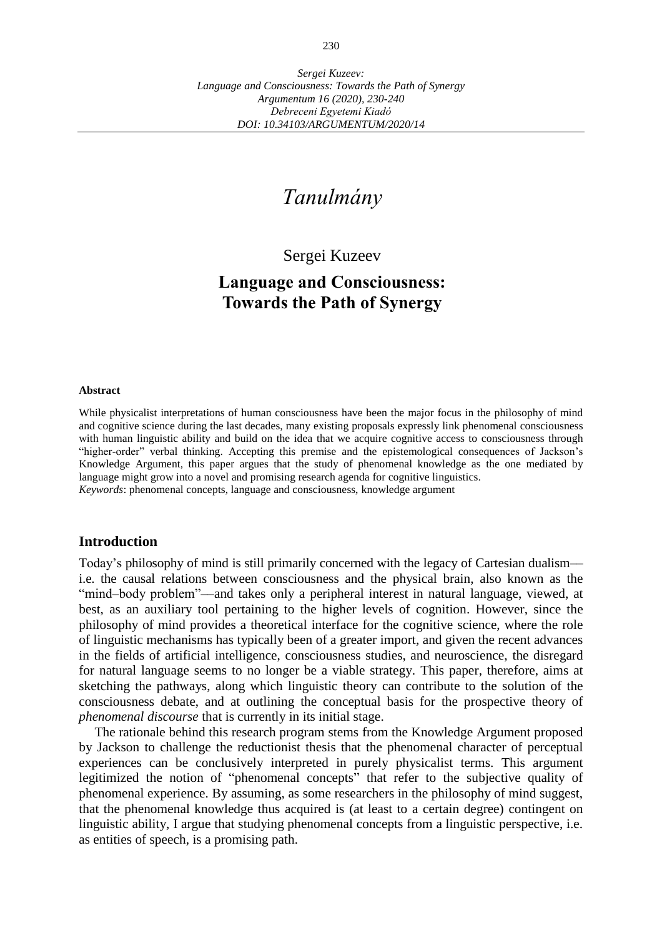# *Tanulmány*

Sergei Kuzeev

## **Language and Consciousness: Towards the Path of Synergy**

#### **Abstract**

While physicalist interpretations of human consciousness have been the major focus in the philosophy of mind and cognitive science during the last decades, many existing proposals expressly link phenomenal consciousness with human linguistic ability and build on the idea that we acquire cognitive access to consciousness through "higher-order" verbal thinking. Accepting this premise and the epistemological consequences of Jackson's Knowledge Argument, this paper argues that the study of phenomenal knowledge as the one mediated by language might grow into a novel and promising research agenda for cognitive linguistics. *Keywords*: phenomenal concepts, language and consciousness, knowledge argument

#### **Introduction**

Today's philosophy of mind is still primarily concerned with the legacy of Cartesian dualism–– i.e. the causal relations between consciousness and the physical brain, also known as the "mind–body problem"––and takes only a peripheral interest in natural language, viewed, at best, as an auxiliary tool pertaining to the higher levels of cognition. However, since the philosophy of mind provides a theoretical interface for the cognitive science, where the role of linguistic mechanisms has typically been of a greater import, and given the recent advances in the fields of artificial intelligence, consciousness studies, and neuroscience, the disregard for natural language seems to no longer be a viable strategy. This paper, therefore, aims at sketching the pathways, along which linguistic theory can contribute to the solution of the consciousness debate, and at outlining the conceptual basis for the prospective theory of *phenomenal discourse* that is currently in its initial stage.

The rationale behind this research program stems from the Knowledge Argument proposed by Jackson to challenge the reductionist thesis that the phenomenal character of perceptual experiences can be conclusively interpreted in purely physicalist terms. This argument legitimized the notion of "phenomenal concepts" that refer to the subjective quality of phenomenal experience. By assuming, as some researchers in the philosophy of mind suggest, that the phenomenal knowledge thus acquired is (at least to a certain degree) contingent on linguistic ability, I argue that studying phenomenal concepts from a linguistic perspective, i.e. as entities of speech, is a promising path.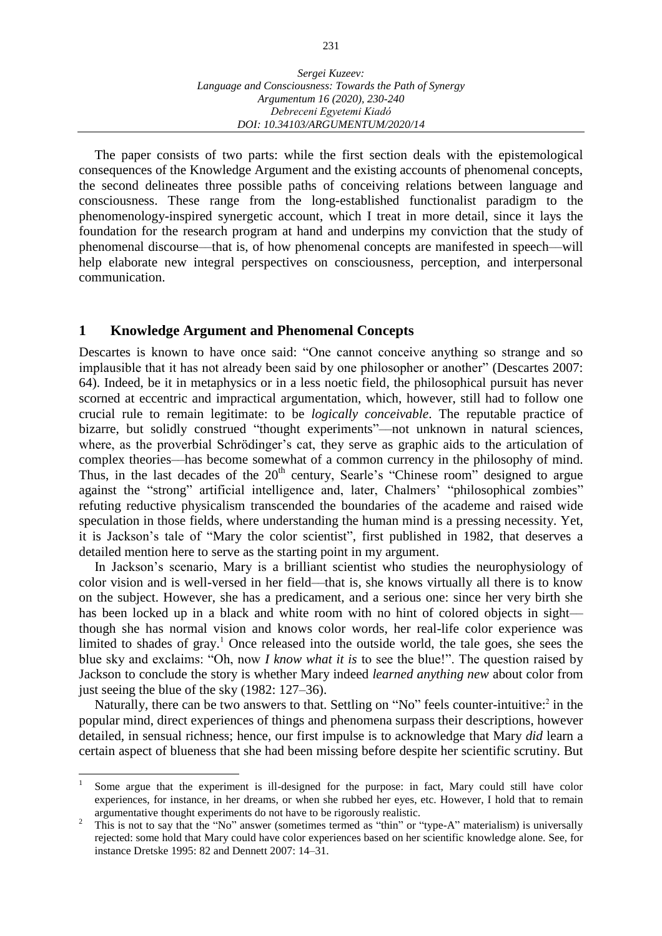The paper consists of two parts: while the first section deals with the epistemological consequences of the Knowledge Argument and the existing accounts of phenomenal concepts, the second delineates three possible paths of conceiving relations between language and consciousness. These range from the long-established functionalist paradigm to the phenomenology-inspired synergetic account, which I treat in more detail, since it lays the foundation for the research program at hand and underpins my conviction that the study of phenomenal discourse––that is, of how phenomenal concepts are manifested in speech––will help elaborate new integral perspectives on consciousness, perception, and interpersonal communication.

#### **1 Knowledge Argument and Phenomenal Concepts**

 $\overline{a}$ 

Descartes is known to have once said: "One cannot conceive anything so strange and so implausible that it has not already been said by one philosopher or another" (Descartes 2007: 64). Indeed, be it in metaphysics or in a less noetic field, the philosophical pursuit has never scorned at eccentric and impractical argumentation, which, however, still had to follow one crucial rule to remain legitimate: to be *logically conceivable*. The reputable practice of bizarre, but solidly construed "thought experiments"––not unknown in natural sciences, where, as the proverbial Schrödinger's cat, they serve as graphic aids to the articulation of complex theories––has become somewhat of a common currency in the philosophy of mind. Thus, in the last decades of the  $20<sup>th</sup>$  century, Searle's "Chinese room" designed to argue against the "strong" artificial intelligence and, later, Chalmers' "philosophical zombies" refuting reductive physicalism transcended the boundaries of the academe and raised wide speculation in those fields, where understanding the human mind is a pressing necessity. Yet, it is Jackson's tale of "Mary the color scientist", first published in 1982, that deserves a detailed mention here to serve as the starting point in my argument.

In Jackson's scenario, Mary is a brilliant scientist who studies the neurophysiology of color vision and is well-versed in her field––that is, she knows virtually all there is to know on the subject. However, she has a predicament, and a serious one: since her very birth she has been locked up in a black and white room with no hint of colored objects in sight though she has normal vision and knows color words, her real-life color experience was limited to shades of gray.<sup>1</sup> Once released into the outside world, the tale goes, she sees the blue sky and exclaims: "Oh, now *I know what it is* to see the blue!". The question raised by Jackson to conclude the story is whether Mary indeed *learned anything new* about color from just seeing the blue of the sky (1982: 127–36).

Naturally, there can be two answers to that. Settling on "No" feels counter-intuitive:<sup>2</sup> in the popular mind, direct experiences of things and phenomena surpass their descriptions, however detailed, in sensual richness; hence, our first impulse is to acknowledge that Mary *did* learn a certain aspect of blueness that she had been missing before despite her scientific scrutiny. But

<sup>1</sup> Some argue that the experiment is ill-designed for the purpose: in fact, Mary could still have color experiences, for instance, in her dreams, or when she rubbed her eyes, etc. However, I hold that to remain argumentative thought experiments do not have to be rigorously realistic.

<sup>&</sup>lt;sup>2</sup> This is not to say that the "No" answer (sometimes termed as "thin" or "type-A" materialism) is universally rejected: some hold that Mary could have color experiences based on her scientific knowledge alone. See, for instance Dretske 1995: 82 and Dennett 2007: 14–31.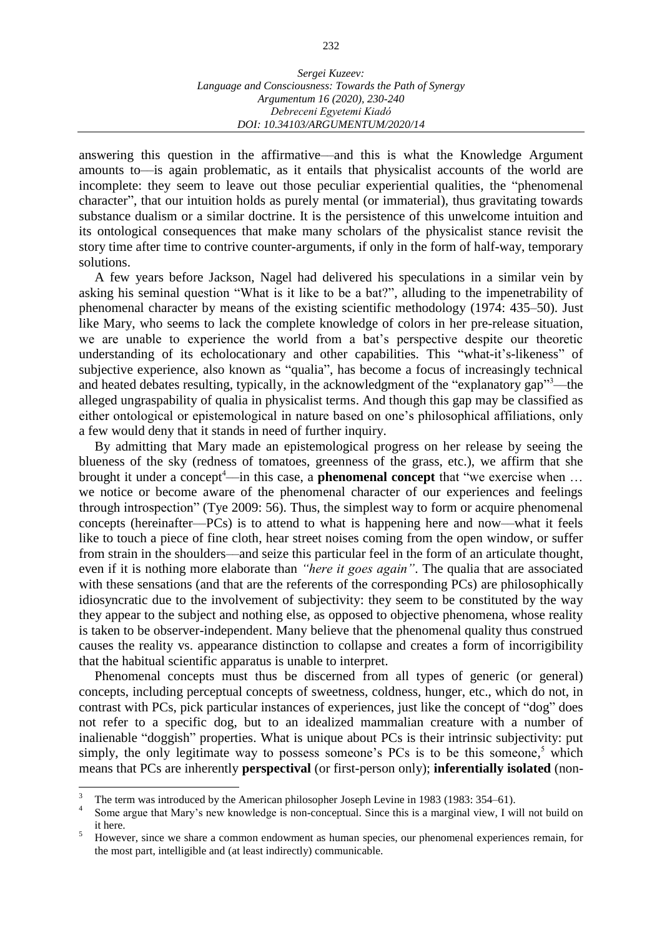answering this question in the affirmative––and this is what the Knowledge Argument amounts to––is again problematic, as it entails that physicalist accounts of the world are incomplete: they seem to leave out those peculiar experiential qualities, the "phenomenal character", that our intuition holds as purely mental (or immaterial), thus gravitating towards substance dualism or a similar doctrine. It is the persistence of this unwelcome intuition and its ontological consequences that make many scholars of the physicalist stance revisit the story time after time to contrive counter-arguments, if only in the form of half-way, temporary solutions.

A few years before Jackson, Nagel had delivered his speculations in a similar vein by asking his seminal question "What is it like to be a bat?", alluding to the impenetrability of phenomenal character by means of the existing scientific methodology (1974: 435–50). Just like Mary, who seems to lack the complete knowledge of colors in her pre-release situation, we are unable to experience the world from a bat's perspective despite our theoretic understanding of its echolocationary and other capabilities. This "what-it's-likeness" of subjective experience, also known as "qualia", has become a focus of increasingly technical and heated debates resulting, typically, in the acknowledgment of the "explanatory gap"<sup>3</sup>—the alleged ungraspability of qualia in physicalist terms. And though this gap may be classified as either ontological or epistemological in nature based on one's philosophical affiliations, only a few would deny that it stands in need of further inquiry.

By admitting that Mary made an epistemological progress on her release by seeing the blueness of the sky (redness of tomatoes, greenness of the grass, etc.), we affirm that she brought it under a concept<sup>4</sup>—in this case, a **phenomenal concept** that "we exercise when ... we notice or become aware of the phenomenal character of our experiences and feelings through introspection" (Tye 2009: 56). Thus, the simplest way to form or acquire phenomenal concepts (hereinafter––PCs) is to attend to what is happening here and now––what it feels like to touch a piece of fine cloth, hear street noises coming from the open window, or suffer from strain in the shoulders––and seize this particular feel in the form of an articulate thought, even if it is nothing more elaborate than *"here it goes again"*. The qualia that are associated with these sensations (and that are the referents of the corresponding PCs) are philosophically idiosyncratic due to the involvement of subjectivity: they seem to be constituted by the way they appear to the subject and nothing else, as opposed to objective phenomena, whose reality is taken to be observer-independent. Many believe that the phenomenal quality thus construed causes the reality vs. appearance distinction to collapse and creates a form of incorrigibility that the habitual scientific apparatus is unable to interpret.

Phenomenal concepts must thus be discerned from all types of generic (or general) concepts, including perceptual concepts of sweetness, coldness, hunger, etc., which do not, in contrast with PCs, pick particular instances of experiences, just like the concept of "dog" does not refer to a specific dog, but to an idealized mammalian creature with a number of inalienable "doggish" properties. What is unique about PCs is their intrinsic subjectivity: put simply, the only legitimate way to possess someone's PCs is to be this someone, $5$  which means that PCs are inherently **perspectival** (or first-person only); **inferentially isolated** (non-

 $\overline{3}$ <sup>3</sup> The term was introduced by the American philosopher Joseph Levine in 1983 (1983: 354–61).

<sup>4</sup> Some argue that Mary's new knowledge is non-conceptual. Since this is a marginal view, I will not build on it here.

<sup>&</sup>lt;sup>5</sup> However, since we share a common endowment as human species, our phenomenal experiences remain, for the most part, intelligible and (at least indirectly) communicable.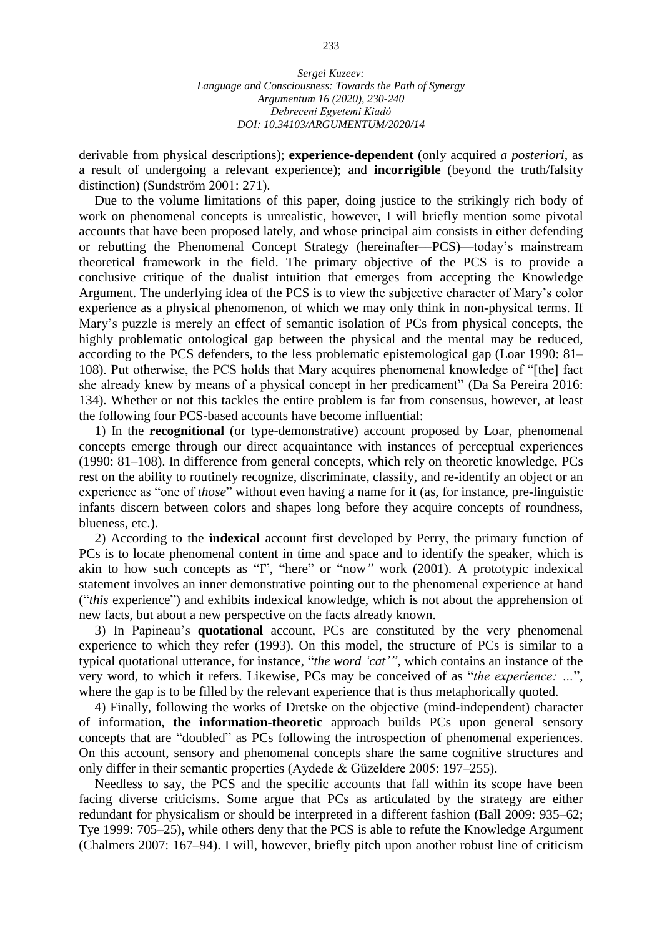derivable from physical descriptions); **experience-dependent** (only acquired *a posteriori*, as a result of undergoing a relevant experience); and **incorrigible** (beyond the truth/falsity distinction) (Sundström 2001: 271).

Due to the volume limitations of this paper, doing justice to the strikingly rich body of work on phenomenal concepts is unrealistic, however, I will briefly mention some pivotal accounts that have been proposed lately, and whose principal aim consists in either defending or rebutting the Phenomenal Concept Strategy (hereinafter––PCS)*––*today's mainstream theoretical framework in the field. The primary objective of the PCS is to provide a conclusive critique of the dualist intuition that emerges from accepting the Knowledge Argument. The underlying idea of the PCS is to view the subjective character of Mary's color experience as a physical phenomenon, of which we may only think in non-physical terms. If Mary's puzzle is merely an effect of semantic isolation of PCs from physical concepts, the highly problematic ontological gap between the physical and the mental may be reduced, according to the PCS defenders, to the less problematic epistemological gap (Loar 1990: 81– 108). Put otherwise, the PCS holds that Mary acquires phenomenal knowledge of "[the] fact she already knew by means of a physical concept in her predicament" (Da Sa Pereira 2016: 134). Whether or not this tackles the entire problem is far from consensus, however, at least the following four PCS-based accounts have become influential:

1) In the **recognitional** (or type-demonstrative) account proposed by Loar, phenomenal concepts emerge through our direct acquaintance with instances of perceptual experiences (1990: 81–108). In difference from general concepts, which rely on theoretic knowledge, PCs rest on the ability to routinely recognize, discriminate, classify, and re-identify an object or an experience as "one of *those*" without even having a name for it (as, for instance, pre-linguistic infants discern between colors and shapes long before they acquire concepts of roundness, blueness, etc.).

2) According to the **indexical** account first developed by Perry, the primary function of PCs is to locate phenomenal content in time and space and to identify the speaker, which is akin to how such concepts as "I", "here" or "now*"* work (2001). A prototypic indexical statement involves an inner demonstrative pointing out to the phenomenal experience at hand ("*this* experience") and exhibits indexical knowledge, which is not about the apprehension of new facts, but about a new perspective on the facts already known.

3) In Papineau's **quotational** account, PCs are constituted by the very phenomenal experience to which they refer (1993). On this model, the structure of PCs is similar to a typical quotational utterance, for instance, "*the word 'cat'"*, which contains an instance of the very word, to which it refers. Likewise, PCs may be conceived of as "*the experience: …*", where the gap is to be filled by the relevant experience that is thus metaphorically quoted.

4) Finally, following the works of Dretske on the objective (mind-independent) character of information, **the information-theoretic** approach builds PCs upon general sensory concepts that are "doubled" as PCs following the introspection of phenomenal experiences. On this account, sensory and phenomenal concepts share the same cognitive structures and only differ in their semantic properties (Aydede & Güzeldere 2005: 197–255).

Needless to say, the PCS and the specific accounts that fall within its scope have been facing diverse criticisms. Some argue that PCs as articulated by the strategy are either redundant for physicalism or should be interpreted in a different fashion (Ball 2009: 935–62; Tye 1999: 705–25), while others deny that the PCS is able to refute the Knowledge Argument (Chalmers 2007: 167–94). I will, however, briefly pitch upon another robust line of criticism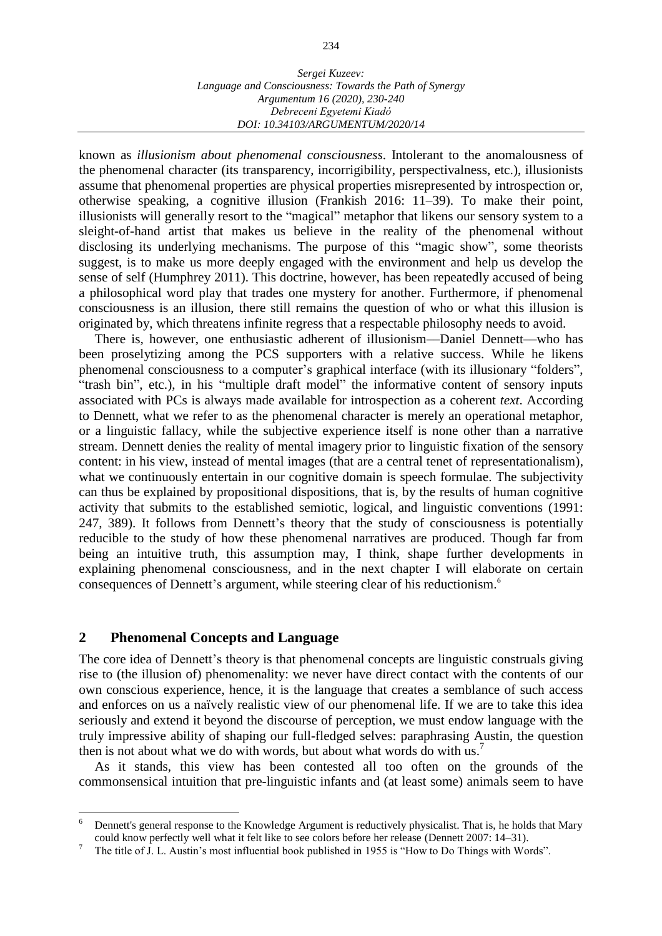| Sergei Kuzeev:                                          |
|---------------------------------------------------------|
| Language and Consciousness: Towards the Path of Synergy |
| Argumentum 16 (2020), 230-240                           |
| Debreceni Egyetemi Kiadó                                |
| DOI: 10.34103/ARGUMENTUM/2020/14                        |

known as *illusionism about phenomenal consciousness*. Intolerant to the anomalousness of the phenomenal character (its transparency, incorrigibility, perspectivalness, etc.), illusionists assume that phenomenal properties are physical properties misrepresented by introspection or, otherwise speaking, a cognitive illusion (Frankish 2016: 11–39). To make their point, illusionists will generally resort to the "magical" metaphor that likens our sensory system to a sleight-of-hand artist that makes us believe in the reality of the phenomenal without disclosing its underlying mechanisms. The purpose of this "magic show", some theorists suggest, is to make us more deeply engaged with the environment and help us develop the sense of self (Humphrey 2011). This doctrine, however, has been repeatedly accused of being a philosophical word play that trades one mystery for another. Furthermore, if phenomenal consciousness is an illusion, there still remains the question of who or what this illusion is originated by, which threatens infinite regress that a respectable philosophy needs to avoid.

There is, however, one enthusiastic adherent of illusionism––Daniel Dennett––who has been proselytizing among the PCS supporters with a relative success. While he likens phenomenal consciousness to a computer's graphical interface (with its illusionary "folders", "trash bin", etc.), in his "multiple draft model" the informative content of sensory inputs associated with PCs is always made available for introspection as a coherent *text*. According to Dennett, what we refer to as the phenomenal character is merely an operational metaphor, or a linguistic fallacy, while the subjective experience itself is none other than a narrative stream. Dennett denies the reality of mental imagery prior to linguistic fixation of the sensory content: in his view, instead of mental images (that are a central tenet of representationalism), what we continuously entertain in our cognitive domain is speech formulae. The subjectivity can thus be explained by propositional dispositions, that is, by the results of human cognitive activity that submits to the established semiotic, logical, and linguistic conventions (1991: 247, 389). It follows from Dennett's theory that the study of consciousness is potentially reducible to the study of how these phenomenal narratives are produced. Though far from being an intuitive truth, this assumption may, I think, shape further developments in explaining phenomenal consciousness, and in the next chapter I will elaborate on certain consequences of Dennett's argument, while steering clear of his reductionism.<sup>6</sup>

#### **2 Phenomenal Concepts and Language**

The core idea of Dennett's theory is that phenomenal concepts are linguistic construals giving rise to (the illusion of) phenomenality: we never have direct contact with the contents of our own conscious experience, hence, it is the language that creates a semblance of such access and enforces on us a naïvely realistic view of our phenomenal life. If we are to take this idea seriously and extend it beyond the discourse of perception, we must endow language with the truly impressive ability of shaping our full-fledged selves: paraphrasing Austin, the question then is not about what we do with words, but about what words do with us. 7

As it stands, this view has been contested all too often on the grounds of the commonsensical intuition that pre-linguistic infants and (at least some) animals seem to have

 $6\phantom{a}6$ <sup>6</sup> Dennett's general response to the Knowledge Argument is reductively physicalist. That is, he holds that Mary could know perfectly well what it felt like to see colors before her release (Dennett 2007: 14–31).

<sup>7</sup> The title of J. L. Austin's most influential book published in 1955 is "How to Do Things with Words".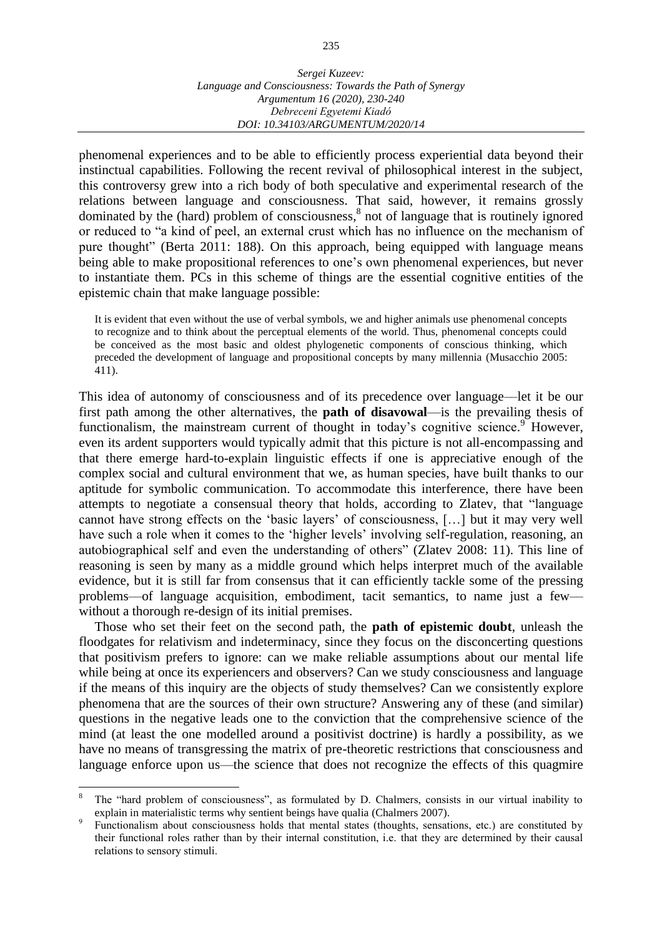phenomenal experiences and to be able to efficiently process experiential data beyond their instinctual capabilities. Following the recent revival of philosophical interest in the subject, this controversy grew into a rich body of both speculative and experimental research of the relations between language and consciousness. That said, however, it remains grossly dominated by the (hard) problem of consciousness,<sup>8</sup> not of language that is routinely ignored or reduced to "a kind of peel, an external crust which has no influence on the mechanism of pure thought" (Berta 2011: 188). On this approach, being equipped with language means being able to make propositional references to one's own phenomenal experiences, but never to instantiate them. PCs in this scheme of things are the essential cognitive entities of the epistemic chain that make language possible:

It is evident that even without the use of verbal symbols, we and higher animals use phenomenal concepts to recognize and to think about the perceptual elements of the world. Thus, phenomenal concepts could be conceived as the most basic and oldest phylogenetic components of conscious thinking, which preceded the development of language and propositional concepts by many millennia (Musacchio 2005: 411).

This idea of autonomy of consciousness and of its precedence over language––let it be our first path among the other alternatives, the **path of disavowal**––is the prevailing thesis of functionalism, the mainstream current of thought in today's cognitive science.<sup>9</sup> However, even its ardent supporters would typically admit that this picture is not all-encompassing and that there emerge hard-to-explain linguistic effects if one is appreciative enough of the complex social and cultural environment that we, as human species, have built thanks to our aptitude for symbolic communication. To accommodate this interference, there have been attempts to negotiate a consensual theory that holds, according to Zlatev, that "language cannot have strong effects on the 'basic layers' of consciousness, […] but it may very well have such a role when it comes to the 'higher levels' involving self-regulation, reasoning, an autobiographical self and even the understanding of others" (Zlatev 2008: 11). This line of reasoning is seen by many as a middle ground which helps interpret much of the available evidence, but it is still far from consensus that it can efficiently tackle some of the pressing problems––of language acquisition, embodiment, tacit semantics, to name just a few–– without a thorough re-design of its initial premises.

Those who set their feet on the second path, the **path of epistemic doubt**, unleash the floodgates for relativism and indeterminacy, since they focus on the disconcerting questions that positivism prefers to ignore: can we make reliable assumptions about our mental life while being at once its experiencers and observers? Can we study consciousness and language if the means of this inquiry are the objects of study themselves? Can we consistently explore phenomena that are the sources of their own structure? Answering any of these (and similar) questions in the negative leads one to the conviction that the comprehensive science of the mind (at least the one modelled around a positivist doctrine) is hardly a possibility, as we have no means of transgressing the matrix of pre-theoretic restrictions that consciousness and language enforce upon us––the science that does not recognize the effects of this quagmire

 $\overline{a}$ 

The "hard problem of consciousness", as formulated by D. Chalmers, consists in our virtual inability to explain in materialistic terms why sentient beings have qualia (Chalmers 2007).

<sup>9</sup> Functionalism about consciousness holds that mental states (thoughts, sensations, etc.) are constituted by their functional roles rather than by their internal constitution, i.e. that they are determined by their causal relations to sensory stimuli.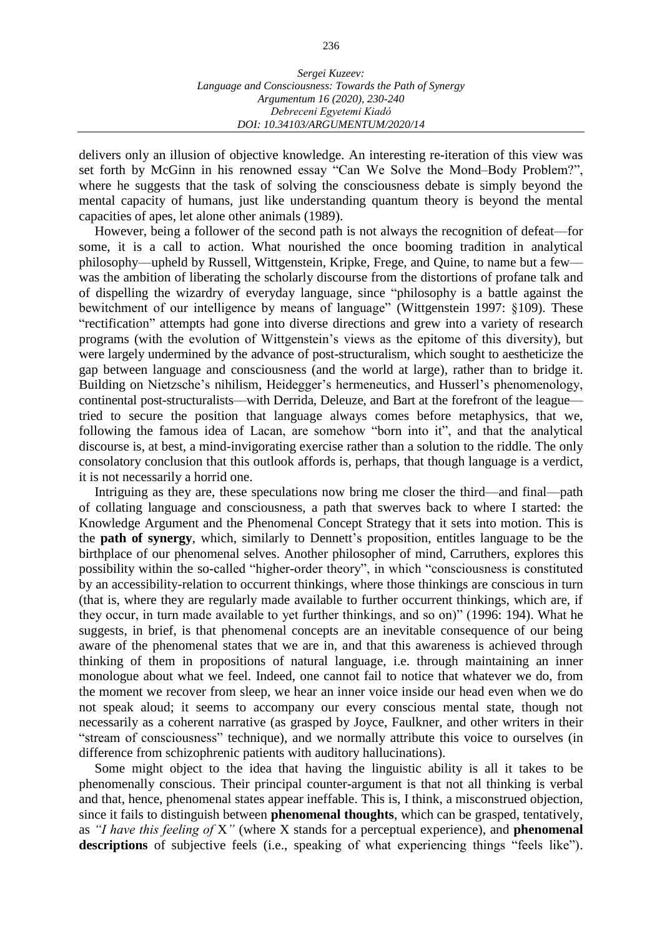delivers only an illusion of objective knowledge. An interesting re-iteration of this view was set forth by McGinn in his renowned essay "Can We Solve the Mond–Body Problem?", where he suggests that the task of solving the consciousness debate is simply beyond the mental capacity of humans, just like understanding quantum theory is beyond the mental capacities of apes, let alone other animals (1989).

However, being a follower of the second path is not always the recognition of defeat––for some, it is a call to action. What nourished the once booming tradition in analytical philosophy––upheld by Russell, Wittgenstein, Kripke, Frege, and Quine, to name but a few–– was the ambition of liberating the scholarly discourse from the distortions of profane talk and of dispelling the wizardry of everyday language, since "philosophy is a battle against the bewitchment of our intelligence by means of language" (Wittgenstein 1997: §109). These "rectification" attempts had gone into diverse directions and grew into a variety of research programs (with the evolution of Wittgenstein's views as the epitome of this diversity), but were largely undermined by the advance of post-structuralism, which sought to aestheticize the gap between language and consciousness (and the world at large), rather than to bridge it. Building on Nietzsche's nihilism, Heidegger's hermeneutics, and Husserl's phenomenology, continental post-structuralists—with Derrida, Deleuze, and Bart at the forefront of the league tried to secure the position that language always comes before metaphysics, that we, following the famous idea of Lacan, are somehow "born into it", and that the analytical discourse is, at best, a mind-invigorating exercise rather than a solution to the riddle. The only consolatory conclusion that this outlook affords is, perhaps, that though language is a verdict, it is not necessarily a horrid one.

Intriguing as they are, these speculations now bring me closer the third—and final—path of collating language and consciousness, a path that swerves back to where I started: the Knowledge Argument and the Phenomenal Concept Strategy that it sets into motion. This is the **path of synergy**, which, similarly to Dennett's proposition, entitles language to be the birthplace of our phenomenal selves. Another philosopher of mind, Carruthers, explores this possibility within the so-called "higher-order theory", in which "consciousness is constituted by an accessibility-relation to occurrent thinkings, where those thinkings are conscious in turn (that is, where they are regularly made available to further occurrent thinkings, which are, if they occur, in turn made available to yet further thinkings, and so on)" (1996: 194). What he suggests, in brief, is that phenomenal concepts are an inevitable consequence of our being aware of the phenomenal states that we are in, and that this awareness is achieved through thinking of them in propositions of natural language, i.e. through maintaining an inner monologue about what we feel. Indeed, one cannot fail to notice that whatever we do, from the moment we recover from sleep, we hear an inner voice inside our head even when we do not speak aloud; it seems to accompany our every conscious mental state, though not necessarily as a coherent narrative (as grasped by Joyce, Faulkner, and other writers in their "stream of consciousness" technique), and we normally attribute this voice to ourselves (in difference from schizophrenic patients with auditory hallucinations).

Some might object to the idea that having the linguistic ability is all it takes to be phenomenally conscious. Their principal counter-argument is that not all thinking is verbal and that, hence, phenomenal states appear ineffable. This is, I think, a misconstrued objection, since it fails to distinguish between **phenomenal thoughts**, which can be grasped, tentatively, as *"I have this feeling of* X*"* (where X stands for a perceptual experience), and **phenomenal descriptions** of subjective feels (i.e., speaking of what experiencing things "feels like").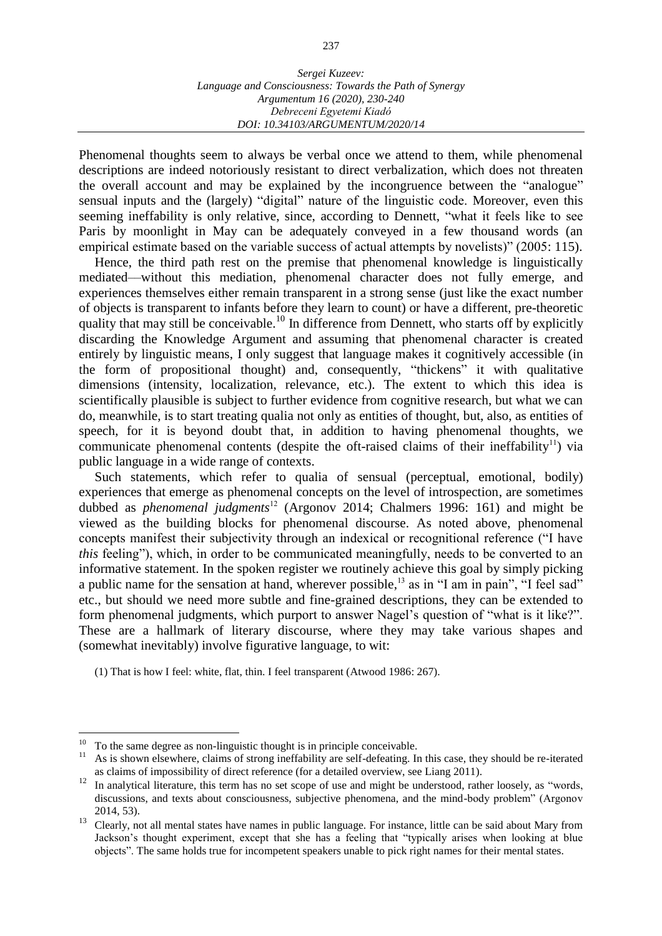Phenomenal thoughts seem to always be verbal once we attend to them, while phenomenal descriptions are indeed notoriously resistant to direct verbalization, which does not threaten the overall account and may be explained by the incongruence between the "analogue" sensual inputs and the (largely) "digital" nature of the linguistic code. Moreover, even this seeming ineffability is only relative, since, according to Dennett, "what it feels like to see Paris by moonlight in May can be adequately conveyed in a few thousand words (an empirical estimate based on the variable success of actual attempts by novelists)" (2005: 115).

Hence, the third path rest on the premise that phenomenal knowledge is linguistically mediated––without this mediation, phenomenal character does not fully emerge, and experiences themselves either remain transparent in a strong sense (just like the exact number of objects is transparent to infants before they learn to count) or have a different, pre-theoretic quality that may still be conceivable.<sup>10</sup> In difference from Dennett, who starts off by explicitly discarding the Knowledge Argument and assuming that phenomenal character is created entirely by linguistic means, I only suggest that language makes it cognitively accessible (in the form of propositional thought) and, consequently, "thickens" it with qualitative dimensions (intensity, localization, relevance, etc.). The extent to which this idea is scientifically plausible is subject to further evidence from cognitive research, but what we can do, meanwhile, is to start treating qualia not only as entities of thought, but, also, as entities of speech, for it is beyond doubt that, in addition to having phenomenal thoughts, we communicate phenomenal contents (despite the oft-raised claims of their ineffability<sup>11</sup>) via public language in a wide range of contexts.

Such statements, which refer to qualia of sensual (perceptual, emotional, bodily) experiences that emerge as phenomenal concepts on the level of introspection, are sometimes dubbed as *phenomenal judgments*<sup>12</sup> (Argonov 2014; Chalmers 1996: 161) and might be viewed as the building blocks for phenomenal discourse. As noted above, phenomenal concepts manifest their subjectivity through an indexical or recognitional reference ("I have *this* feeling"), which, in order to be communicated meaningfully, needs to be converted to an informative statement. In the spoken register we routinely achieve this goal by simply picking a public name for the sensation at hand, wherever possible,  $^{13}$  as in "I am in pain", "I feel sad" etc., but should we need more subtle and fine-grained descriptions, they can be extended to form phenomenal judgments, which purport to answer Nagel's question of "what is it like?". These are a hallmark of literary discourse, where they may take various shapes and (somewhat inevitably) involve figurative language, to wit:

(1) That is how I feel: white, flat, thin. I feel transparent (Atwood 1986: 267).

 $\overline{a}$ 

 $10$  To the same degree as non-linguistic thought is in principle conceivable.

<sup>&</sup>lt;sup>11</sup> As is shown elsewhere, claims of strong ineffability are self-defeating. In this case, they should be re-iterated as claims of impossibility of direct reference (for a detailed overview, see Liang 2011).

 $12$  In analytical literature, this term has no set scope of use and might be understood, rather loosely, as "words, discussions, and texts about consciousness, subjective phenomena, and the mind-body problem" (Argonov 2014, 53).

<sup>&</sup>lt;sup>13</sup> Clearly, not all mental states have names in public language. For instance, little can be said about Mary from Jackson's thought experiment, except that she has a feeling that "typically arises when looking at blue objects". The same holds true for incompetent speakers unable to pick right names for their mental states.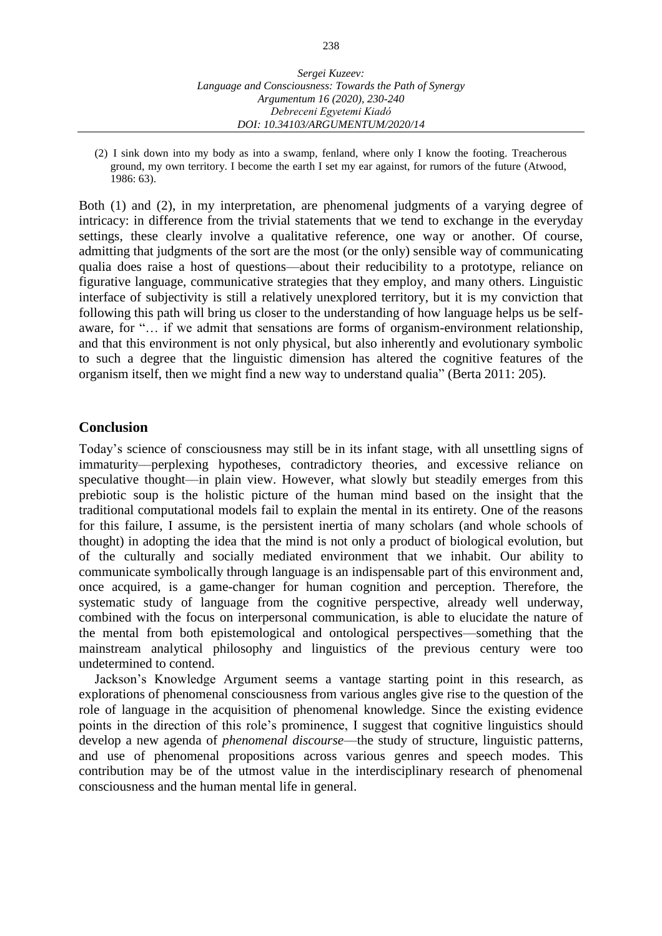(2) I sink down into my body as into a swamp, fenland, where only I know the footing. Treacherous ground, my own territory. I become the earth I set my ear against, for rumors of the future (Atwood, 1986: 63).

Both (1) and (2), in my interpretation, are phenomenal judgments of a varying degree of intricacy: in difference from the trivial statements that we tend to exchange in the everyday settings, these clearly involve a qualitative reference, one way or another. Of course, admitting that judgments of the sort are the most (or the only) sensible way of communicating qualia does raise a host of questions––about their reducibility to a prototype, reliance on figurative language, communicative strategies that they employ, and many others. Linguistic interface of subjectivity is still a relatively unexplored territory, but it is my conviction that following this path will bring us closer to the understanding of how language helps us be selfaware, for "… if we admit that sensations are forms of organism-environment relationship, and that this environment is not only physical, but also inherently and evolutionary symbolic to such a degree that the linguistic dimension has altered the cognitive features of the organism itself, then we might find a new way to understand qualia" (Berta 2011: 205).

### **Conclusion**

Today's science of consciousness may still be in its infant stage, with all unsettling signs of immaturity––perplexing hypotheses, contradictory theories, and excessive reliance on speculative thought—in plain view. However, what slowly but steadily emerges from this prebiotic soup is the holistic picture of the human mind based on the insight that the traditional computational models fail to explain the mental in its entirety. One of the reasons for this failure, I assume, is the persistent inertia of many scholars (and whole schools of thought) in adopting the idea that the mind is not only a product of biological evolution, but of the culturally and socially mediated environment that we inhabit. Our ability to communicate symbolically through language is an indispensable part of this environment and, once acquired, is a game-changer for human cognition and perception. Therefore, the systematic study of language from the cognitive perspective, already well underway, combined with the focus on interpersonal communication, is able to elucidate the nature of the mental from both epistemological and ontological perspectives––something that the mainstream analytical philosophy and linguistics of the previous century were too undetermined to contend.

Jackson's Knowledge Argument seems a vantage starting point in this research, as explorations of phenomenal consciousness from various angles give rise to the question of the role of language in the acquisition of phenomenal knowledge. Since the existing evidence points in the direction of this role's prominence, I suggest that cognitive linguistics should develop a new agenda of *phenomenal discourse*––the study of structure, linguistic patterns, and use of phenomenal propositions across various genres and speech modes. This contribution may be of the utmost value in the interdisciplinary research of phenomenal consciousness and the human mental life in general.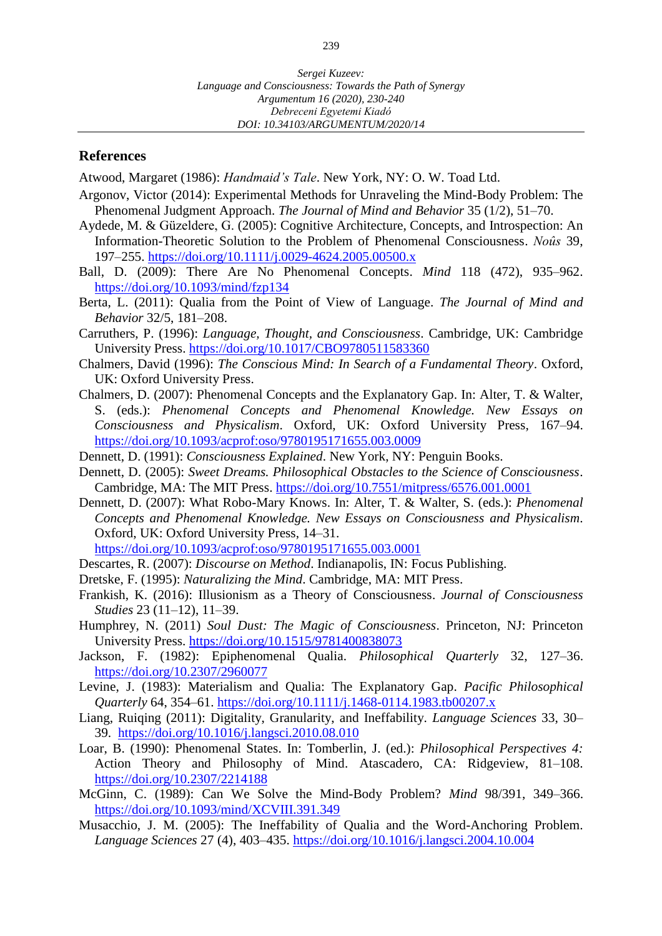#### **References**

Atwood, Margaret (1986): *Handmaid's Tale*. New York, NY: O. W. Toad Ltd.

- Argonov, Victor (2014): Experimental Methods for Unraveling the Mind-Body Problem: The Phenomenal Judgment Approach. *The Journal of Mind and Behavior* 35 (1/2), 51–70.
- Aydede, M. & Güzeldere, G. (2005): Cognitive Architecture, Concepts, and Introspection: An Information-Theoretic Solution to the Problem of Phenomenal Consciousness. *Noûs* 39, 197–255. <https://doi.org/10.1111/j.0029-4624.2005.00500.x>
- Ball, D. (2009): There Are No Phenomenal Concepts. *Mind* 118 (472), 935–962. <https://doi.org/10.1093/mind/fzp134>
- Berta, L. (2011): Qualia from the Point of View of Language. *The Journal of Mind and Behavior* 32/5, 181–208.
- Carruthers, P. (1996): *Language, Thought, and Consciousness*. Cambridge, UK: Cambridge University Press. <https://doi.org/10.1017/CBO9780511583360>
- Chalmers, David (1996): *The Conscious Mind: In Search of a Fundamental Theory*. Oxford, UK: Oxford University Press.
- Chalmers, D. (2007): Phenomenal Concepts and the Explanatory Gap. In: Alter, T. & Walter, S. (eds.): *Phenomenal Concepts and Phenomenal Knowledge. New Essays on Consciousness and Physicalism*. Oxford, UK: Oxford University Press, 167–94. <https://doi.org/10.1093/acprof:oso/9780195171655.003.0009>
- Dennett, D. (1991): *Consciousness Explained*. New York, NY: Penguin Books.
- Dennett, D. (2005): *Sweet Dreams. Philosophical Obstacles to the Science of Consciousness*. Cambridge, MA: The MIT Press. <https://doi.org/10.7551/mitpress/6576.001.0001>
- Dennett, D. (2007): What Robo-Mary Knows. In: Alter, T. & Walter, S. (eds.): *Phenomenal Concepts and Phenomenal Knowledge. New Essays on Consciousness and Physicalism*. Oxford, UK: Oxford University Press, 14–31. <https://doi.org/10.1093/acprof:oso/9780195171655.003.0001>
- Descartes, R. (2007): *Discourse on Method*. Indianapolis, IN: Focus Publishing.
- Dretske, F. (1995): *Naturalizing the Mind*. Cambridge, MA: MIT Press.
- Frankish, K. (2016): Illusionism as a Theory of Consciousness. *Journal of Consciousness Studies* 23 (11–12), 11–39.
- Humphrey, N. (2011) *Soul Dust: The Magic of Consciousness*. Princeton, NJ: Princeton University Press. <https://doi.org/10.1515/9781400838073>
- Jackson, F. (1982): Epiphenomenal Qualia. *Philosophical Quarterly* 32, 127–36. <https://doi.org/10.2307/2960077>
- Levine, J. (1983): Materialism and Qualia: The Explanatory Gap. *Pacific Philosophical Quarterly* 64, 354–61. <https://doi.org/10.1111/j.1468-0114.1983.tb00207.x>
- Liang, Ruiqing (2011): Digitality, Granularity, and Ineffability. *Language Sciences* 33, 30– 39. <https://doi.org/10.1016/j.langsci.2010.08.010>
- Loar, B. (1990): Phenomenal States. In: Tomberlin, J. (ed.): *Philosophical Perspectives 4:*  Action Theory and Philosophy of Mind. Atascadero, CA: Ridgeview, 81–108. <https://doi.org/10.2307/2214188>
- McGinn, C. (1989): Can We Solve the Mind-Body Problem? *Mind* 98/391, 349–366. <https://doi.org/10.1093/mind/XCVIII.391.349>
- Musacchio, J. M. (2005): The Ineffability of Qualia and the Word-Anchoring Problem. *Language Sciences* 27 (4), 403–435. <https://doi.org/10.1016/j.langsci.2004.10.004>